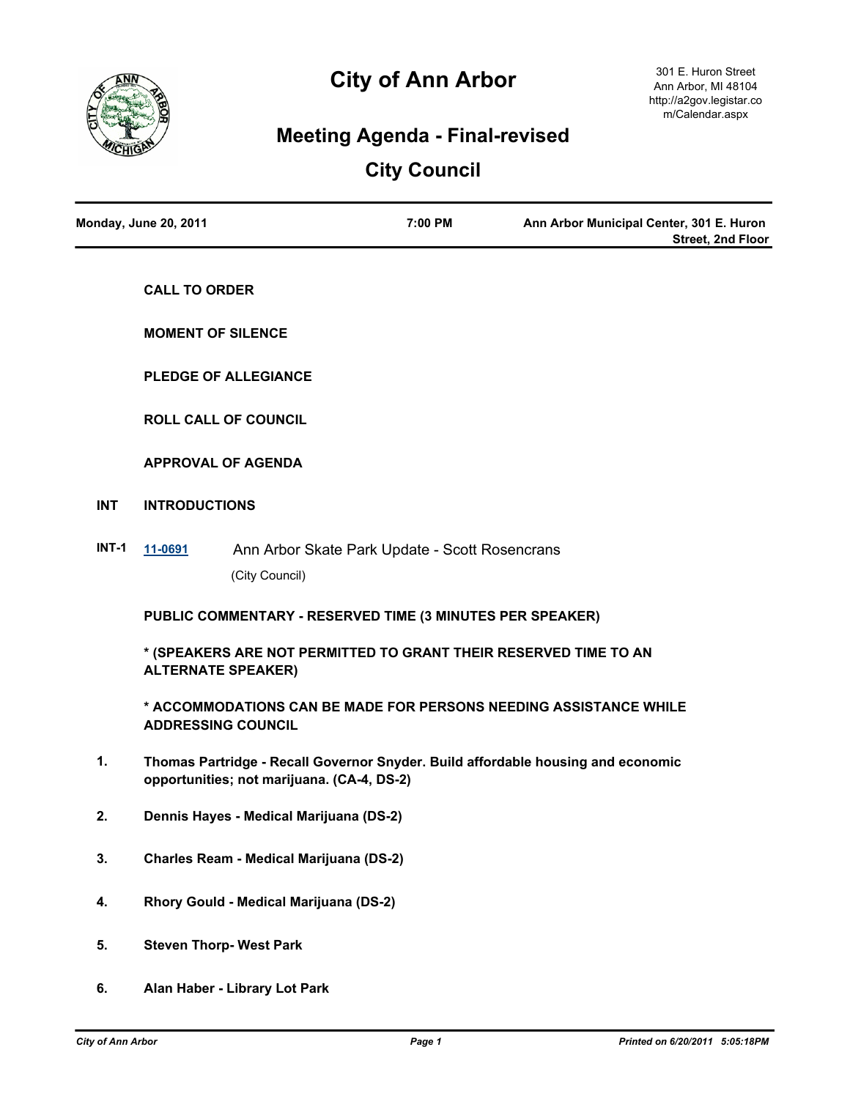

# **City of Ann Arbor**

# **Meeting Agenda - Final-revised**

# **City Council**

| <b>Monday, June 20, 2011</b> | 7:00 PM | Ann Arbor Municipal Center, 301 E. Huron |
|------------------------------|---------|------------------------------------------|
|                              |         | <b>Street, 2nd Floor</b>                 |

**CALL TO ORDER**

**MOMENT OF SILENCE**

**PLEDGE OF ALLEGIANCE**

**ROLL CALL OF COUNCIL**

**APPROVAL OF AGENDA**

- **INT INTRODUCTIONS**
- **INT-1 [11-0691](http://a2gov.legistar.com/gateway.aspx?M=L&ID=7428)** Ann Arbor Skate Park Update Scott Rosencrans (City Council)

**PUBLIC COMMENTARY - RESERVED TIME (3 MINUTES PER SPEAKER)**

**\* (SPEAKERS ARE NOT PERMITTED TO GRANT THEIR RESERVED TIME TO AN ALTERNATE SPEAKER)**

**\* ACCOMMODATIONS CAN BE MADE FOR PERSONS NEEDING ASSISTANCE WHILE ADDRESSING COUNCIL**

- **1. Thomas Partridge Recall Governor Snyder. Build affordable housing and economic opportunities; not marijuana. (CA-4, DS-2)**
- **2. Dennis Hayes Medical Marijuana (DS-2)**
- **3. Charles Ream Medical Marijuana (DS-2)**
- **4. Rhory Gould Medical Marijuana (DS-2)**
- **5. Steven Thorp- West Park**
- **6. Alan Haber Library Lot Park**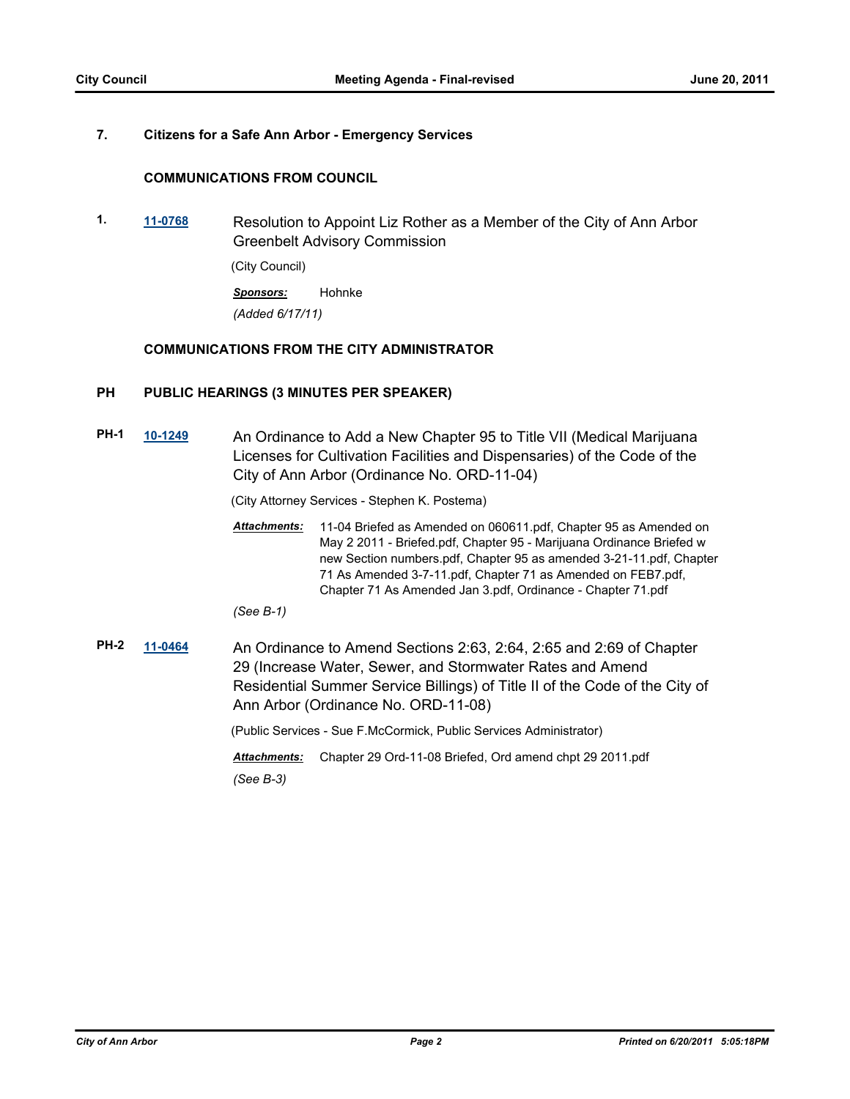## **7. Citizens for a Safe Ann Arbor - Emergency Services**

## **COMMUNICATIONS FROM COUNCIL**

**1. [11-0768](http://a2gov.legistar.com/gateway.aspx?M=L&ID=7520)** Resolution to Appoint Liz Rother as a Member of the City of Ann Arbor Greenbelt Advisory Commission

(City Council)

*Sponsors:* Hohnke *(Added 6/17/11)*

## **COMMUNICATIONS FROM THE CITY ADMINISTRATOR**

## **PH PUBLIC HEARINGS (3 MINUTES PER SPEAKER)**

**PH-1 [10-1249](http://a2gov.legistar.com/gateway.aspx?M=L&ID=6604)** An Ordinance to Add a New Chapter 95 to Title VII (Medical Marijuana Licenses for Cultivation Facilities and Dispensaries) of the Code of the City of Ann Arbor (Ordinance No. ORD-11-04)

(City Attorney Services - Stephen K. Postema)

11-04 Briefed as Amended on 060611.pdf, Chapter 95 as Amended on May 2 2011 - Briefed.pdf, Chapter 95 - Marijuana Ordinance Briefed w new Section numbers.pdf, Chapter 95 as amended 3-21-11.pdf, Chapter 71 As Amended 3-7-11.pdf, Chapter 71 as Amended on FEB7.pdf, Chapter 71 As Amended Jan 3.pdf, Ordinance - Chapter 71.pdf *Attachments:*

*(See B-1)*

**PH-2 [11-0464](http://a2gov.legistar.com/gateway.aspx?M=L&ID=7190)** An Ordinance to Amend Sections 2:63, 2:64, 2:65 and 2:69 of Chapter 29 (Increase Water, Sewer, and Stormwater Rates and Amend Residential Summer Service Billings) of Title II of the Code of the City of Ann Arbor (Ordinance No. ORD-11-08)

(Public Services - Sue F.McCormick, Public Services Administrator)

*Attachments:* Chapter 29 Ord-11-08 Briefed, Ord amend chpt 29 2011.pdf *(See B-3)*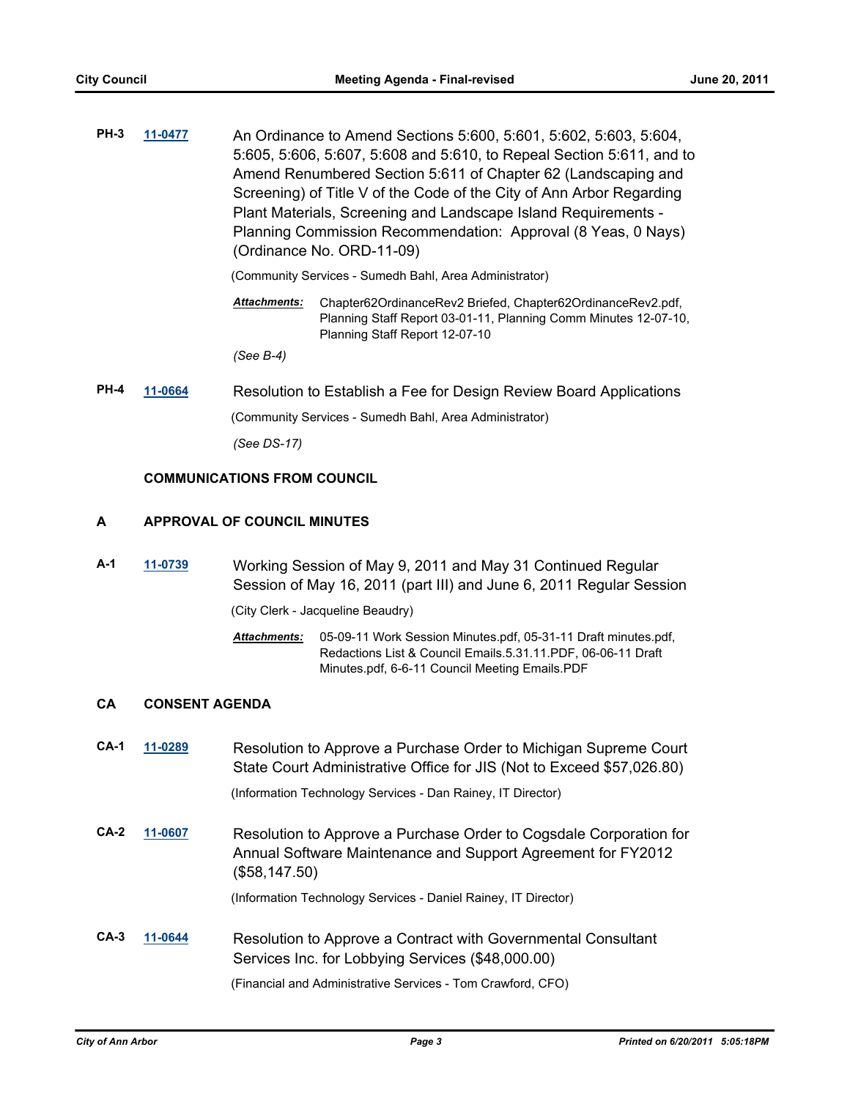**PH-3 [11-0477](http://a2gov.legistar.com/gateway.aspx?M=L&ID=7200)** An Ordinance to Amend Sections 5:600, 5:601, 5:602, 5:603, 5:604, 5:605, 5:606, 5:607, 5:608 and 5:610, to Repeal Section 5:611, and to Amend Renumbered Section 5:611 of Chapter 62 (Landscaping and Screening) of Title V of the Code of the City of Ann Arbor Regarding Plant Materials, Screening and Landscape Island Requirements - Planning Commission Recommendation: Approval (8 Yeas, 0 Nays) (Ordinance No. ORD-11-09)

(Community Services - Sumedh Bahl, Area Administrator)

Chapter62OrdinanceRev2 Briefed, Chapter62OrdinanceRev2.pdf, Planning Staff Report 03-01-11, Planning Comm Minutes 12-07-10, Planning Staff Report 12-07-10 *Attachments:*

*(See B-4)*

**PH-4 [11-0664](http://a2gov.legistar.com/gateway.aspx?M=L&ID=7402)** Resolution to Establish a Fee for Design Review Board Applications (Community Services - Sumedh Bahl, Area Administrator)

*(See DS-17)*

## **COMMUNICATIONS FROM COUNCIL**

## **A APPROVAL OF COUNCIL MINUTES**

**A-1 [11-0739](http://a2gov.legistar.com/gateway.aspx?M=L&ID=7482)** Working Session of May 9, 2011 and May 31 Continued Regular Session of May 16, 2011 (part III) and June 6, 2011 Regular Session

(City Clerk - Jacqueline Beaudry)

05-09-11 Work Session Minutes.pdf, 05-31-11 Draft minutes.pdf, *Attachments:* Redactions List & Council Emails.5.31.11.PDF, 06-06-11 Draft Minutes.pdf, 6-6-11 Council Meeting Emails.PDF

## **CA CONSENT AGENDA**

**CA-1 [11-0289](http://a2gov.legistar.com/gateway.aspx?M=L&ID=7012)** Resolution to Approve a Purchase Order to Michigan Supreme Court State Court Administrative Office for JIS (Not to Exceed \$57,026.80)

(Information Technology Services - Dan Rainey, IT Director)

**CA-2 [11-0607](http://a2gov.legistar.com/gateway.aspx?M=L&ID=7345)** Resolution to Approve a Purchase Order to Cogsdale Corporation for Annual Software Maintenance and Support Agreement for FY2012 (\$58,147.50)

(Information Technology Services - Daniel Rainey, IT Director)

**CA-3 [11-0644](http://a2gov.legistar.com/gateway.aspx?M=L&ID=7375)** Resolution to Approve a Contract with Governmental Consultant Services Inc. for Lobbying Services (\$48,000.00)

(Financial and Administrative Services - Tom Crawford, CFO)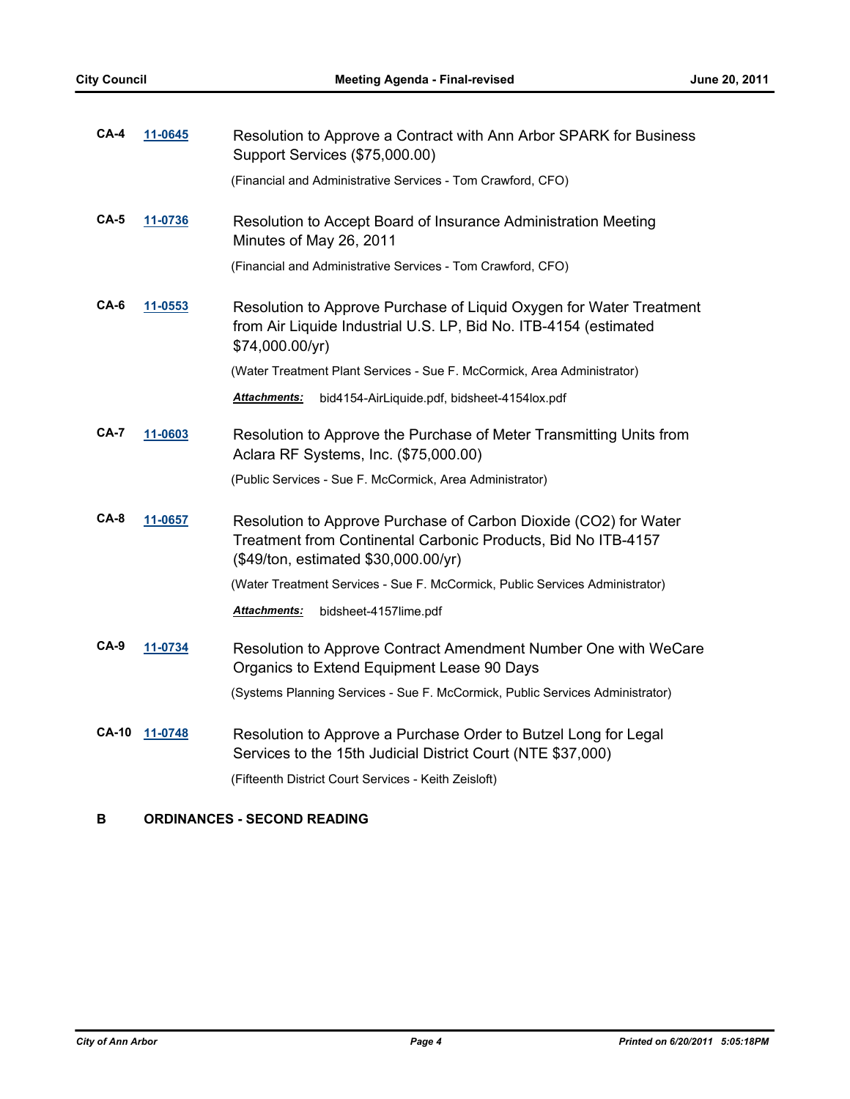| $CA-4$       | 11-0645 | Resolution to Approve a Contract with Ann Arbor SPARK for Business<br>Support Services (\$75,000.00)                                                                      |  |
|--------------|---------|---------------------------------------------------------------------------------------------------------------------------------------------------------------------------|--|
|              |         | (Financial and Administrative Services - Tom Crawford, CFO)                                                                                                               |  |
| $CA-5$       | 11-0736 | Resolution to Accept Board of Insurance Administration Meeting<br>Minutes of May 26, 2011                                                                                 |  |
|              |         | (Financial and Administrative Services - Tom Crawford, CFO)                                                                                                               |  |
| CA-6         | 11-0553 | Resolution to Approve Purchase of Liquid Oxygen for Water Treatment<br>from Air Liquide Industrial U.S. LP, Bid No. ITB-4154 (estimated<br>\$74,000.00/yr)                |  |
|              |         | (Water Treatment Plant Services - Sue F. McCormick, Area Administrator)                                                                                                   |  |
|              |         | <b>Attachments:</b><br>bid4154-AirLiquide.pdf, bidsheet-4154lox.pdf                                                                                                       |  |
| <b>CA-7</b>  | 11-0603 | Resolution to Approve the Purchase of Meter Transmitting Units from<br>Aclara RF Systems, Inc. (\$75,000.00)                                                              |  |
|              |         | (Public Services - Sue F. McCormick, Area Administrator)                                                                                                                  |  |
| $CA-8$       | 11-0657 | Resolution to Approve Purchase of Carbon Dioxide (CO2) for Water<br>Treatment from Continental Carbonic Products, Bid No ITB-4157<br>(\$49/ton, estimated \$30,000.00/yr) |  |
|              |         | (Water Treatment Services - Sue F. McCormick, Public Services Administrator)                                                                                              |  |
|              |         | bidsheet-4157lime.pdf<br><b>Attachments:</b>                                                                                                                              |  |
| $CA-9$       | 11-0734 | Resolution to Approve Contract Amendment Number One with WeCare<br>Organics to Extend Equipment Lease 90 Days                                                             |  |
|              |         | (Systems Planning Services - Sue F. McCormick, Public Services Administrator)                                                                                             |  |
| <b>CA-10</b> | 11-0748 | Resolution to Approve a Purchase Order to Butzel Long for Legal<br>Services to the 15th Judicial District Court (NTE \$37,000)                                            |  |
|              |         | (Fifteenth District Court Services - Keith Zeisloft)                                                                                                                      |  |

# **B ORDINANCES - SECOND READING**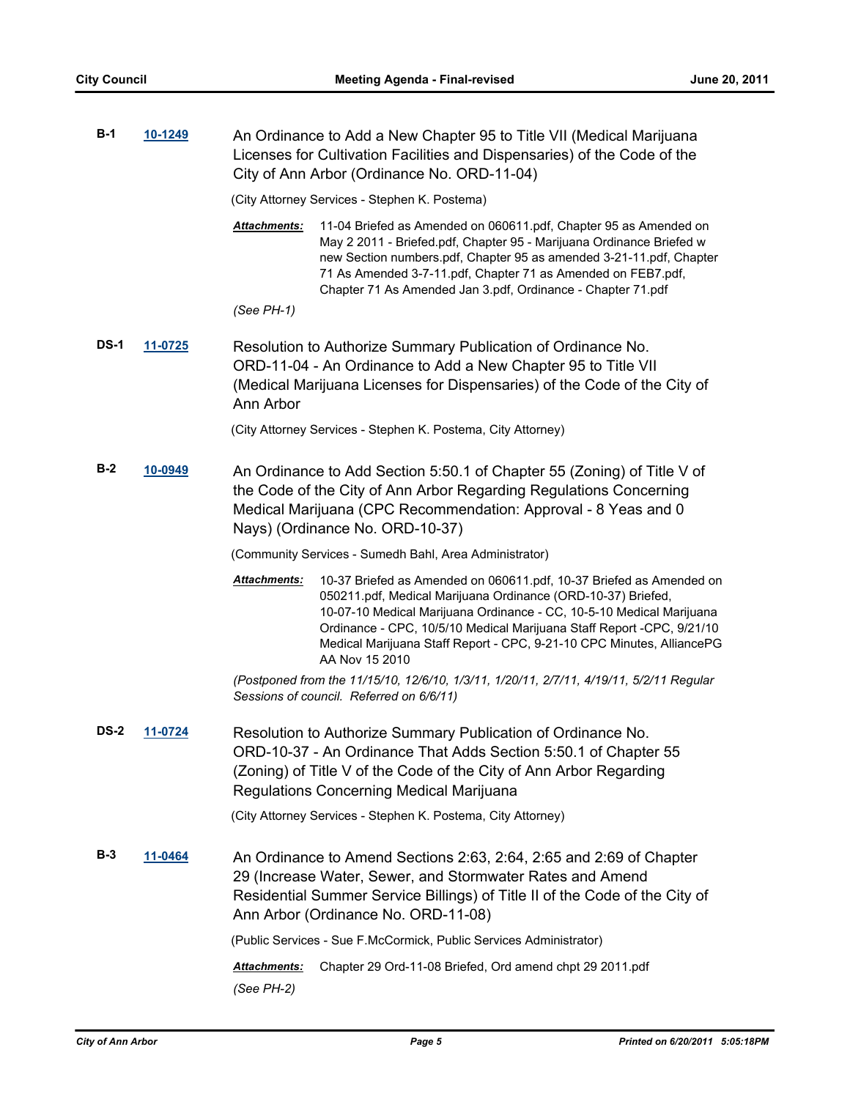| $B-1$       | 10-1249                                                                                                                                                                                                                                                                  | An Ordinance to Add a New Chapter 95 to Title VII (Medical Marijuana<br>Licenses for Cultivation Facilities and Dispensaries) of the Code of the<br>City of Ann Arbor (Ordinance No. ORD-11-04)                                                                                                                                                                                                  |  |  |  |
|-------------|--------------------------------------------------------------------------------------------------------------------------------------------------------------------------------------------------------------------------------------------------------------------------|--------------------------------------------------------------------------------------------------------------------------------------------------------------------------------------------------------------------------------------------------------------------------------------------------------------------------------------------------------------------------------------------------|--|--|--|
|             |                                                                                                                                                                                                                                                                          | (City Attorney Services - Stephen K. Postema)                                                                                                                                                                                                                                                                                                                                                    |  |  |  |
|             |                                                                                                                                                                                                                                                                          | Attachments:<br>11-04 Briefed as Amended on 060611.pdf, Chapter 95 as Amended on<br>May 2 2011 - Briefed.pdf, Chapter 95 - Marijuana Ordinance Briefed w<br>new Section numbers.pdf, Chapter 95 as amended 3-21-11.pdf, Chapter<br>71 As Amended 3-7-11.pdf, Chapter 71 as Amended on FEB7.pdf,<br>Chapter 71 As Amended Jan 3.pdf, Ordinance - Chapter 71.pdf                                   |  |  |  |
|             |                                                                                                                                                                                                                                                                          | $(See PH-1)$                                                                                                                                                                                                                                                                                                                                                                                     |  |  |  |
| <b>DS-1</b> | 11-0725                                                                                                                                                                                                                                                                  | Resolution to Authorize Summary Publication of Ordinance No.<br>ORD-11-04 - An Ordinance to Add a New Chapter 95 to Title VII<br>(Medical Marijuana Licenses for Dispensaries) of the Code of the City of<br>Ann Arbor                                                                                                                                                                           |  |  |  |
|             |                                                                                                                                                                                                                                                                          | (City Attorney Services - Stephen K. Postema, City Attorney)                                                                                                                                                                                                                                                                                                                                     |  |  |  |
| $B-2$       | 10-0949                                                                                                                                                                                                                                                                  | An Ordinance to Add Section 5:50.1 of Chapter 55 (Zoning) of Title V of<br>the Code of the City of Ann Arbor Regarding Regulations Concerning<br>Medical Marijuana (CPC Recommendation: Approval - 8 Yeas and 0<br>Nays) (Ordinance No. ORD-10-37)                                                                                                                                               |  |  |  |
|             |                                                                                                                                                                                                                                                                          | (Community Services - Sumedh Bahl, Area Administrator)                                                                                                                                                                                                                                                                                                                                           |  |  |  |
|             |                                                                                                                                                                                                                                                                          | Attachments:<br>10-37 Briefed as Amended on 060611.pdf, 10-37 Briefed as Amended on<br>050211.pdf, Medical Marijuana Ordinance (ORD-10-37) Briefed,<br>10-07-10 Medical Marijuana Ordinance - CC, 10-5-10 Medical Marijuana<br>Ordinance - CPC, 10/5/10 Medical Marijuana Staff Report - CPC, 9/21/10<br>Medical Marijuana Staff Report - CPC, 9-21-10 CPC Minutes, AlliancePG<br>AA Nov 15 2010 |  |  |  |
|             |                                                                                                                                                                                                                                                                          | (Postponed from the 11/15/10, 12/6/10, 1/3/11, 1/20/11, 2/7/11, 4/19/11, 5/2/11 Regular<br>Sessions of council. Referred on 6/6/11)                                                                                                                                                                                                                                                              |  |  |  |
| <b>DS-2</b> | 11-0724                                                                                                                                                                                                                                                                  | Resolution to Authorize Summary Publication of Ordinance No.<br>ORD-10-37 - An Ordinance That Adds Section 5:50.1 of Chapter 55<br>(Zoning) of Title V of the Code of the City of Ann Arbor Regarding<br>Regulations Concerning Medical Marijuana                                                                                                                                                |  |  |  |
|             |                                                                                                                                                                                                                                                                          | (City Attorney Services - Stephen K. Postema, City Attorney)                                                                                                                                                                                                                                                                                                                                     |  |  |  |
| $B-3$       | <u>11-0464</u><br>An Ordinance to Amend Sections 2:63, 2:64, 2:65 and 2:69 of Chapter<br>29 (Increase Water, Sewer, and Stormwater Rates and Amend<br>Residential Summer Service Billings) of Title II of the Code of the City of<br>Ann Arbor (Ordinance No. ORD-11-08) |                                                                                                                                                                                                                                                                                                                                                                                                  |  |  |  |
|             |                                                                                                                                                                                                                                                                          | (Public Services - Sue F.McCormick, Public Services Administrator)                                                                                                                                                                                                                                                                                                                               |  |  |  |
|             |                                                                                                                                                                                                                                                                          | Attachments:<br>Chapter 29 Ord-11-08 Briefed, Ord amend chpt 29 2011.pdf<br>(See PH-2)                                                                                                                                                                                                                                                                                                           |  |  |  |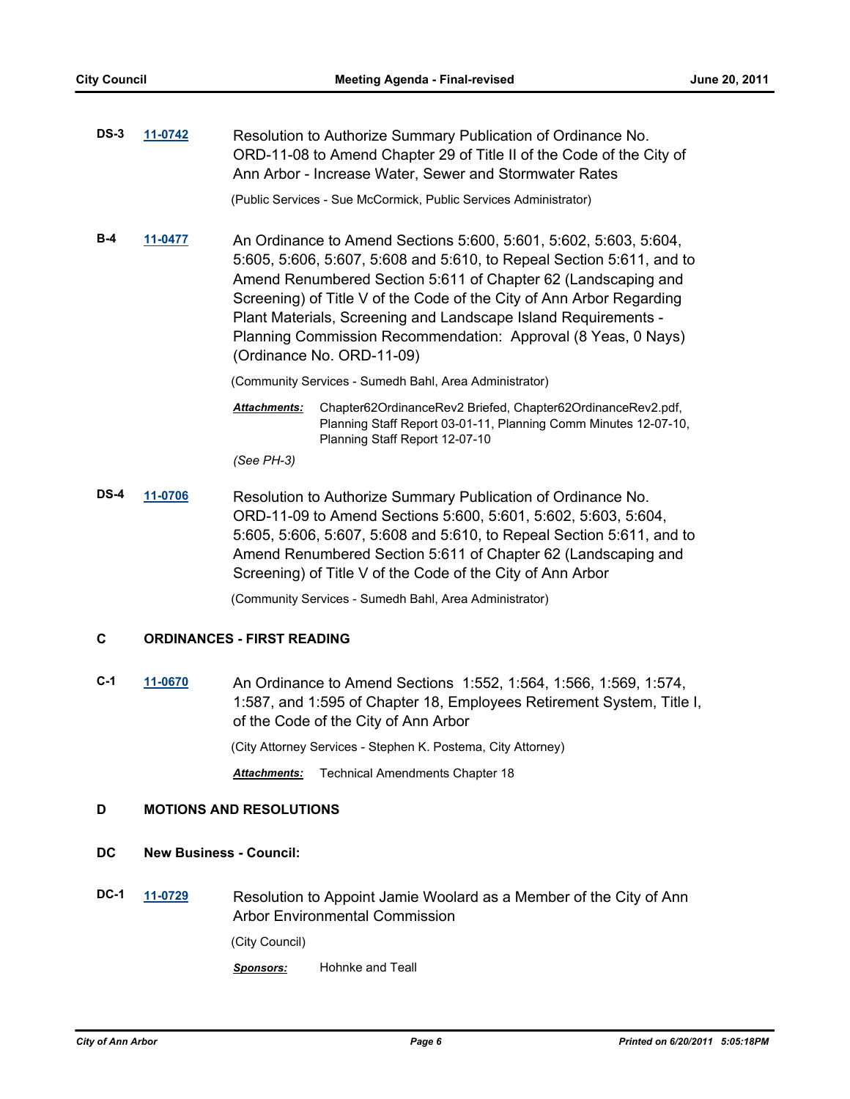| $DS-3$ | 11-0742 | Resolution to Authorize Summary Publication of Ordinance No.<br>ORD-11-08 to Amend Chapter 29 of Title II of the Code of the City of<br>Ann Arbor - Increase Water, Sewer and Stormwater Rates                                                                                                                                                                                                                                                      |  |
|--------|---------|-----------------------------------------------------------------------------------------------------------------------------------------------------------------------------------------------------------------------------------------------------------------------------------------------------------------------------------------------------------------------------------------------------------------------------------------------------|--|
|        |         | (Public Services - Sue McCormick, Public Services Administrator)                                                                                                                                                                                                                                                                                                                                                                                    |  |
| $B-4$  | 11-0477 | An Ordinance to Amend Sections 5:600, 5:601, 5:602, 5:603, 5:604,<br>5:605, 5:606, 5:607, 5:608 and 5:610, to Repeal Section 5:611, and to<br>Amend Renumbered Section 5:611 of Chapter 62 (Landscaping and<br>Screening) of Title V of the Code of the City of Ann Arbor Regarding<br>Plant Materials, Screening and Landscape Island Requirements -<br>Planning Commission Recommendation: Approval (8 Yeas, 0 Nays)<br>(Ordinance No. ORD-11-09) |  |
|        |         | (Community Services - Sumedh Bahl, Area Administrator)                                                                                                                                                                                                                                                                                                                                                                                              |  |
|        |         | Chapter62OrdinanceRev2 Briefed, Chapter62OrdinanceRev2.pdf,<br>Attachments:                                                                                                                                                                                                                                                                                                                                                                         |  |

*(See PH-3)*

**DS-4 [11-0706](http://a2gov.legistar.com/gateway.aspx?M=L&ID=7443)** Resolution to Authorize Summary Publication of Ordinance No. ORD-11-09 to Amend Sections 5:600, 5:601, 5:602, 5:603, 5:604, 5:605, 5:606, 5:607, 5:608 and 5:610, to Repeal Section 5:611, and to Amend Renumbered Section 5:611 of Chapter 62 (Landscaping and Screening) of Title V of the Code of the City of Ann Arbor

Planning Staff Report 12-07-10

Planning Staff Report 03-01-11, Planning Comm Minutes 12-07-10,

(Community Services - Sumedh Bahl, Area Administrator)

### **C ORDINANCES - FIRST READING**

**C-1 [11-0670](http://a2gov.legistar.com/gateway.aspx?M=L&ID=7408)** An Ordinance to Amend Sections 1:552, 1:564, 1:566, 1:569, 1:574, 1:587, and 1:595 of Chapter 18, Employees Retirement System, Title I, of the Code of the City of Ann Arbor

(City Attorney Services - Stephen K. Postema, City Attorney)

*Attachments:* Technical Amendments Chapter 18

## **D MOTIONS AND RESOLUTIONS**

### **DC New Business - Council:**

**DC-1 [11-0729](http://a2gov.legistar.com/gateway.aspx?M=L&ID=7468)** Resolution to Appoint Jamie Woolard as a Member of the City of Ann Arbor Environmental Commission

(City Council)

*Sponsors:* Hohnke and Teall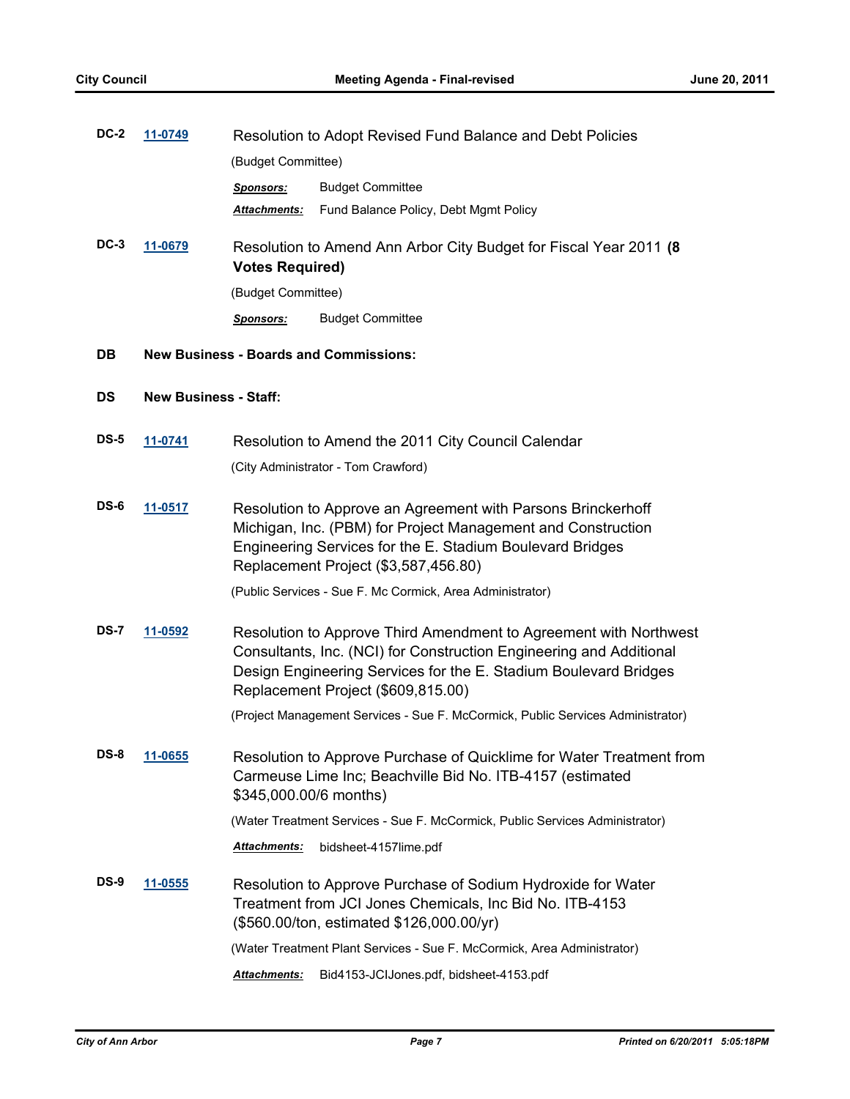| <b>DC-2</b>       | 11-0749                      | Resolution to Adopt Revised Fund Balance and Debt Policies                                                                                                                                                                        |                                                                                                                                                                                                                                                    |  |
|-------------------|------------------------------|-----------------------------------------------------------------------------------------------------------------------------------------------------------------------------------------------------------------------------------|----------------------------------------------------------------------------------------------------------------------------------------------------------------------------------------------------------------------------------------------------|--|
|                   |                              | (Budget Committee)                                                                                                                                                                                                                |                                                                                                                                                                                                                                                    |  |
|                   |                              | Sponsors:                                                                                                                                                                                                                         | <b>Budget Committee</b>                                                                                                                                                                                                                            |  |
|                   |                              | Attachments:                                                                                                                                                                                                                      | Fund Balance Policy, Debt Mgmt Policy                                                                                                                                                                                                              |  |
| $DC-3$<br>11-0679 |                              | Resolution to Amend Ann Arbor City Budget for Fiscal Year 2011 (8)<br><b>Votes Required)</b>                                                                                                                                      |                                                                                                                                                                                                                                                    |  |
|                   |                              | (Budget Committee)                                                                                                                                                                                                                |                                                                                                                                                                                                                                                    |  |
|                   |                              | <b>Sponsors:</b>                                                                                                                                                                                                                  | <b>Budget Committee</b>                                                                                                                                                                                                                            |  |
| DB                |                              | <b>New Business - Boards and Commissions:</b>                                                                                                                                                                                     |                                                                                                                                                                                                                                                    |  |
| DS                | <b>New Business - Staff:</b> |                                                                                                                                                                                                                                   |                                                                                                                                                                                                                                                    |  |
| <b>DS-5</b>       | 11-0741                      |                                                                                                                                                                                                                                   | Resolution to Amend the 2011 City Council Calendar                                                                                                                                                                                                 |  |
|                   |                              |                                                                                                                                                                                                                                   | (City Administrator - Tom Crawford)                                                                                                                                                                                                                |  |
| DS-6              | 11-0517                      | Resolution to Approve an Agreement with Parsons Brinckerhoff<br>Michigan, Inc. (PBM) for Project Management and Construction<br>Engineering Services for the E. Stadium Boulevard Bridges<br>Replacement Project (\$3,587,456.80) |                                                                                                                                                                                                                                                    |  |
|                   |                              |                                                                                                                                                                                                                                   | (Public Services - Sue F. Mc Cormick, Area Administrator)                                                                                                                                                                                          |  |
| <b>DS-7</b>       | 11-0592                      |                                                                                                                                                                                                                                   | Resolution to Approve Third Amendment to Agreement with Northwest<br>Consultants, Inc. (NCI) for Construction Engineering and Additional<br>Design Engineering Services for the E. Stadium Boulevard Bridges<br>Replacement Project (\$609,815.00) |  |
|                   |                              |                                                                                                                                                                                                                                   | (Project Management Services - Sue F. McCormick, Public Services Administrator)                                                                                                                                                                    |  |
| DS-8              | 11-0655                      | \$345,000.00/6 months)                                                                                                                                                                                                            | Resolution to Approve Purchase of Quicklime for Water Treatment from<br>Carmeuse Lime Inc; Beachville Bid No. ITB-4157 (estimated                                                                                                                  |  |
|                   |                              |                                                                                                                                                                                                                                   | (Water Treatment Services - Sue F. McCormick, Public Services Administrator)                                                                                                                                                                       |  |
|                   |                              | Attachments:                                                                                                                                                                                                                      | bidsheet-4157lime.pdf                                                                                                                                                                                                                              |  |
| DS-9              | <u>11-0555</u>               |                                                                                                                                                                                                                                   | Resolution to Approve Purchase of Sodium Hydroxide for Water<br>Treatment from JCI Jones Chemicals, Inc Bid No. ITB-4153<br>(\$560.00/ton, estimated \$126,000.00/yr)                                                                              |  |
|                   |                              |                                                                                                                                                                                                                                   | (Water Treatment Plant Services - Sue F. McCormick, Area Administrator)                                                                                                                                                                            |  |
|                   |                              | Attachments:                                                                                                                                                                                                                      | Bid4153-JCIJones.pdf, bidsheet-4153.pdf                                                                                                                                                                                                            |  |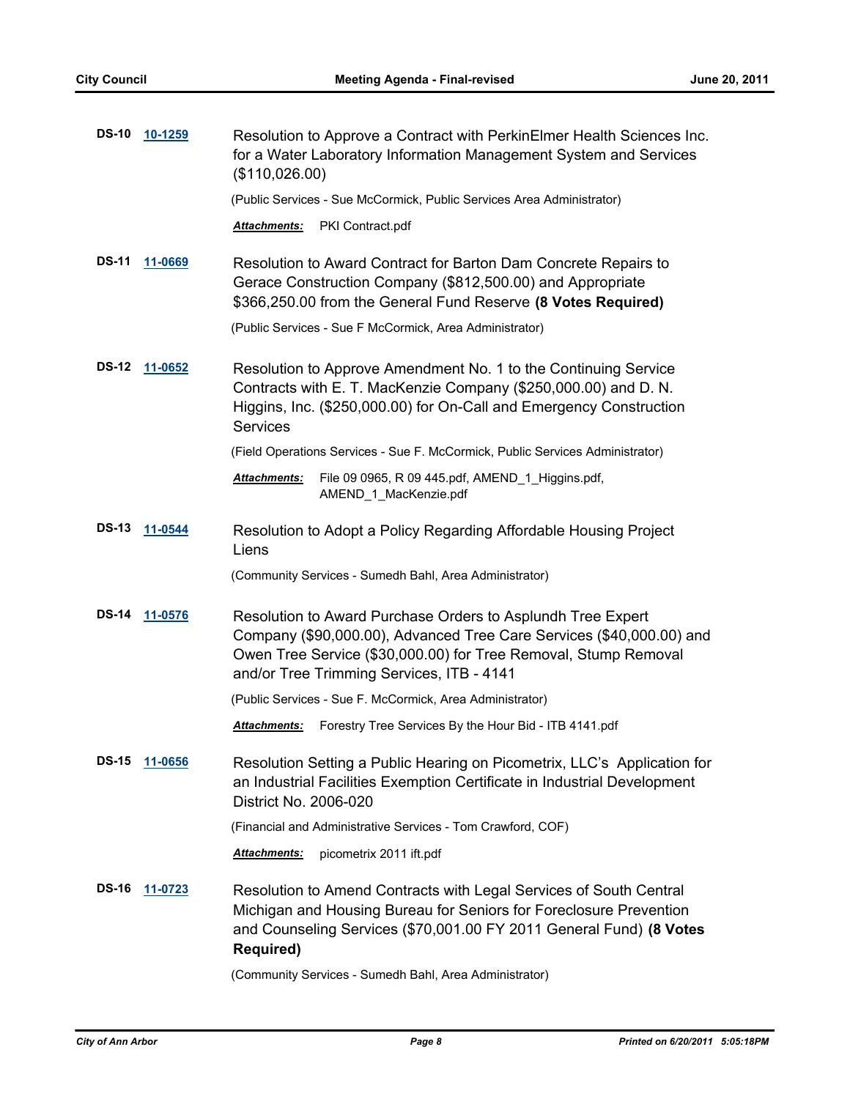| <b>DS-10</b> | 10-1259        | Resolution to Approve a Contract with PerkinElmer Health Sciences Inc.<br>for a Water Laboratory Information Management System and Services<br>(\$110,026.00)                                                                                       |  |  |
|--------------|----------------|-----------------------------------------------------------------------------------------------------------------------------------------------------------------------------------------------------------------------------------------------------|--|--|
|              |                | (Public Services - Sue McCormick, Public Services Area Administrator)                                                                                                                                                                               |  |  |
|              |                | Attachments:<br>PKI Contract.pdf                                                                                                                                                                                                                    |  |  |
| <b>DS-11</b> | 11-0669        | Resolution to Award Contract for Barton Dam Concrete Repairs to<br>Gerace Construction Company (\$812,500.00) and Appropriate<br>\$366,250.00 from the General Fund Reserve (8 Votes Required)                                                      |  |  |
|              |                | (Public Services - Sue F McCormick, Area Administrator)                                                                                                                                                                                             |  |  |
| <b>DS-12</b> | 11-0652        | Resolution to Approve Amendment No. 1 to the Continuing Service<br>Contracts with E. T. MacKenzie Company (\$250,000.00) and D. N.<br>Higgins, Inc. (\$250,000.00) for On-Call and Emergency Construction<br><b>Services</b>                        |  |  |
|              |                | (Field Operations Services - Sue F. McCormick, Public Services Administrator)                                                                                                                                                                       |  |  |
|              |                | Attachments:<br>File 09 0965, R 09 445 pdf, AMEND_1_Higgins.pdf,<br>AMEND_1_MacKenzie.pdf                                                                                                                                                           |  |  |
| <b>DS-13</b> | 11-0544        | Resolution to Adopt a Policy Regarding Affordable Housing Project<br>Liens                                                                                                                                                                          |  |  |
|              |                | (Community Services - Sumedh Bahl, Area Administrator)                                                                                                                                                                                              |  |  |
| <b>DS-14</b> | 11-0576        | Resolution to Award Purchase Orders to Asplundh Tree Expert<br>Company (\$90,000.00), Advanced Tree Care Services (\$40,000.00) and<br>Owen Tree Service (\$30,000.00) for Tree Removal, Stump Removal<br>and/or Tree Trimming Services, ITB - 4141 |  |  |
|              |                | (Public Services - Sue F. McCormick, Area Administrator)                                                                                                                                                                                            |  |  |
|              |                | Forestry Tree Services By the Hour Bid - ITB 4141.pdf<br><u>Attachments:</u>                                                                                                                                                                        |  |  |
| <b>DS-15</b> | 11-0656        | Resolution Setting a Public Hearing on Picometrix, LLC's Application for<br>an Industrial Facilities Exemption Certificate in Industrial Development<br>District No. 2006-020                                                                       |  |  |
|              |                | (Financial and Administrative Services - Tom Crawford, COF)                                                                                                                                                                                         |  |  |
|              |                | Attachments:<br>picometrix 2011 ift.pdf                                                                                                                                                                                                             |  |  |
| <b>DS-16</b> | <u>11-0723</u> | Resolution to Amend Contracts with Legal Services of South Central<br>Michigan and Housing Bureau for Seniors for Foreclosure Prevention<br>and Counseling Services (\$70,001.00 FY 2011 General Fund) (8 Votes<br><b>Required)</b>                 |  |  |
|              |                | (Community Services - Sumedh Bahl, Area Administrator)                                                                                                                                                                                              |  |  |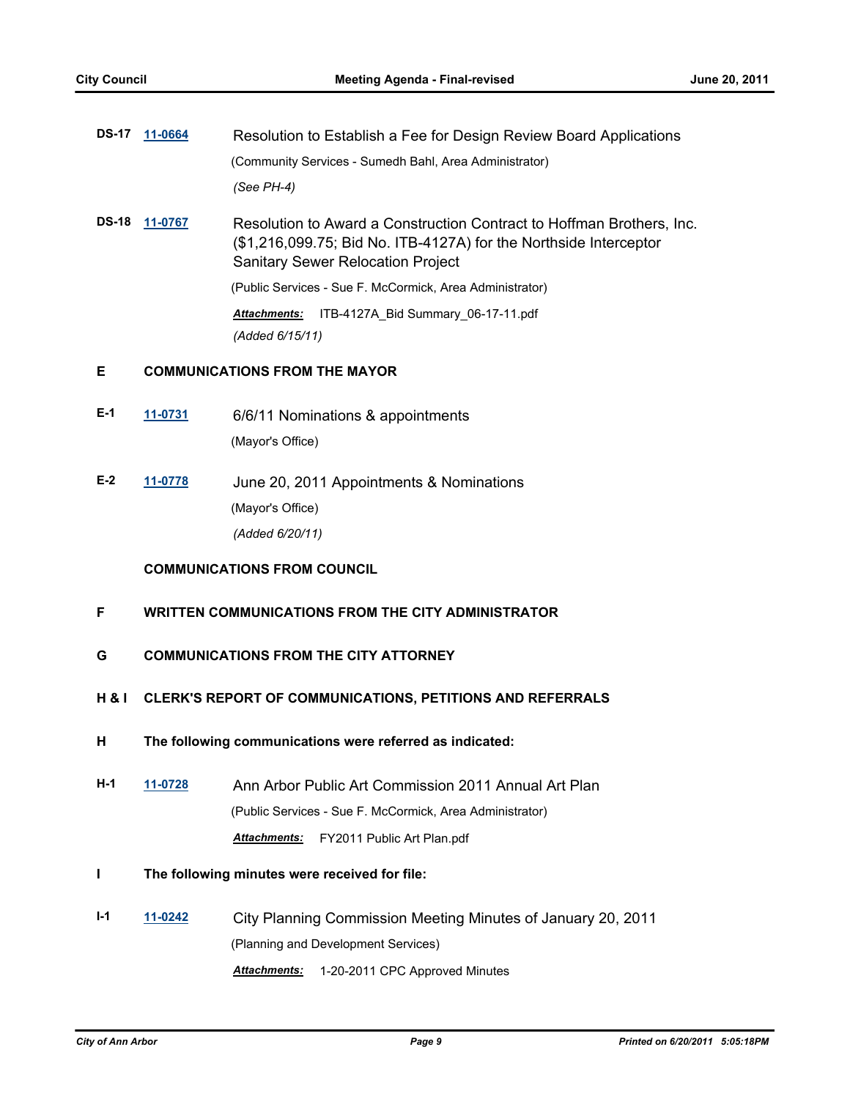| DS-17 11-0664 | Resolution to Establish a Fee for Design Review Board Applications |
|---------------|--------------------------------------------------------------------|
|               | (Community Services - Sumedh Bahl, Area Administrator)             |
|               | (See PH-4)                                                         |

**DS-18 [11-0767](http://a2gov.legistar.com/gateway.aspx?M=L&ID=7517)** Resolution to Award a Construction Contract to Hoffman Brothers, Inc. (\$1,216,099.75; Bid No. ITB-4127A) for the Northside Interceptor Sanitary Sewer Relocation Project

(Public Services - Sue F. McCormick, Area Administrator)

*Attachments:* ITB-4127A\_Bid Summary\_06-17-11.pdf *(Added 6/15/11)*

## **E COMMUNICATIONS FROM THE MAYOR**

- **E-1 [11-0731](http://a2gov.legistar.com/gateway.aspx?M=L&ID=7469)** 6/6/11 Nominations & appointments (Mayor's Office)
- **E-2 [11-0778](http://a2gov.legistar.com/gateway.aspx?M=L&ID=7527)** June 20, 2011 Appointments & Nominations (Mayor's Office) *(Added 6/20/11)*

## **COMMUNICATIONS FROM COUNCIL**

## **F WRITTEN COMMUNICATIONS FROM THE CITY ADMINISTRATOR**

- **G COMMUNICATIONS FROM THE CITY ATTORNEY**
- **H & I CLERK'S REPORT OF COMMUNICATIONS, PETITIONS AND REFERRALS**
- **H The following communications were referred as indicated:**
- **H-1 [11-0728](http://a2gov.legistar.com/gateway.aspx?M=L&ID=7465)** Ann Arbor Public Art Commission 2011 Annual Art Plan (Public Services - Sue F. McCormick, Area Administrator) *Attachments:* FY2011 Public Art Plan.pdf
- **I The following minutes were received for file:**
- **I-1 [11-0242](http://a2gov.legistar.com/gateway.aspx?M=L&ID=6959)** City Planning Commission Meeting Minutes of January 20, 2011 (Planning and Development Services) *Attachments:* 1-20-2011 CPC Approved Minutes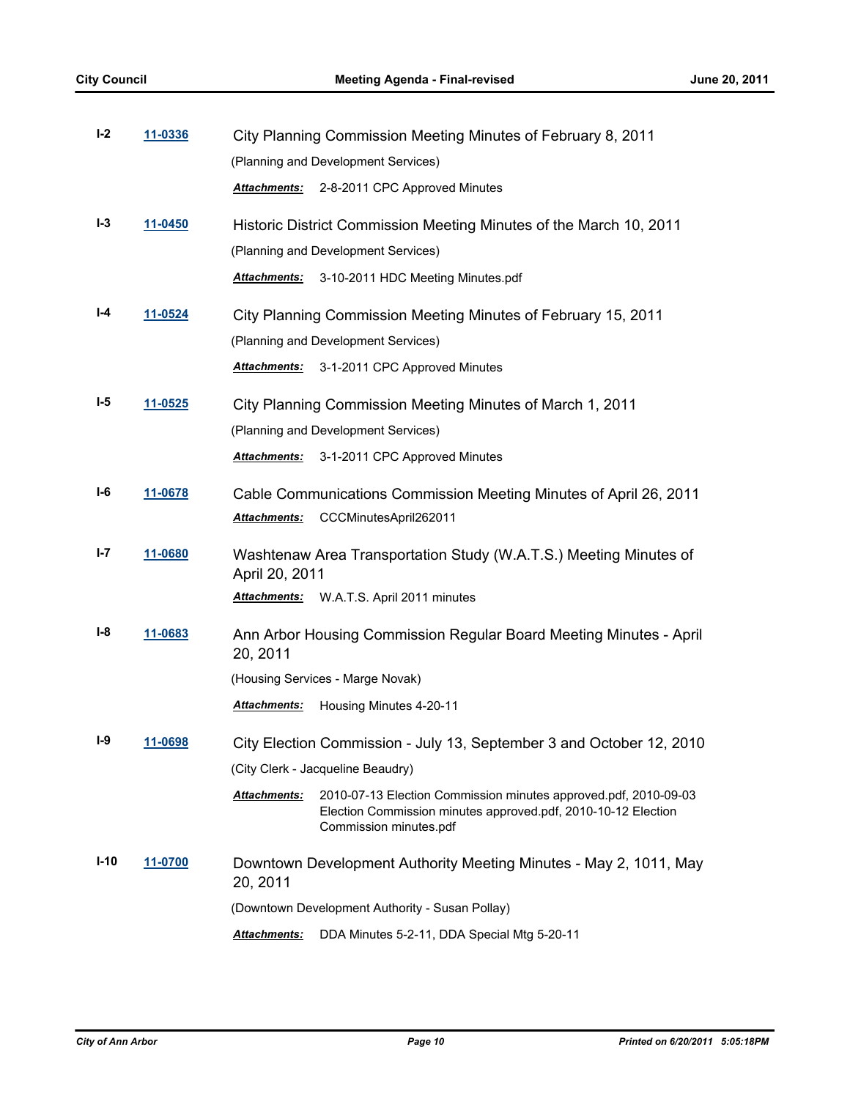| $I-2$  | 11-0336<br>City Planning Commission Meeting Minutes of February 8, 2011 |                                        |                                                                                                                                                            |
|--------|-------------------------------------------------------------------------|----------------------------------------|------------------------------------------------------------------------------------------------------------------------------------------------------------|
|        |                                                                         | (Planning and Development Services)    |                                                                                                                                                            |
|        |                                                                         | Attachments:                           | 2-8-2011 CPC Approved Minutes                                                                                                                              |
| $I-3$  | 11-0450                                                                 |                                        | Historic District Commission Meeting Minutes of the March 10, 2011                                                                                         |
|        |                                                                         |                                        | (Planning and Development Services)                                                                                                                        |
|        |                                                                         | <b>Attachments:</b>                    | 3-10-2011 HDC Meeting Minutes.pdf                                                                                                                          |
| I-4    | 11-0524                                                                 |                                        | City Planning Commission Meeting Minutes of February 15, 2011                                                                                              |
|        |                                                                         |                                        | (Planning and Development Services)                                                                                                                        |
|        |                                                                         | Attachments:                           | 3-1-2011 CPC Approved Minutes                                                                                                                              |
| I-5    | 11-0525                                                                 |                                        | City Planning Commission Meeting Minutes of March 1, 2011                                                                                                  |
|        |                                                                         |                                        | (Planning and Development Services)                                                                                                                        |
|        |                                                                         | Attachments:                           | 3-1-2011 CPC Approved Minutes                                                                                                                              |
| I-6    | 11-0678                                                                 |                                        | Cable Communications Commission Meeting Minutes of April 26, 2011                                                                                          |
|        |                                                                         | <u> Attachments:</u>                   | CCCMinutesApril262011                                                                                                                                      |
| I-7    | 11-0680                                                                 |                                        | Washtenaw Area Transportation Study (W.A.T.S.) Meeting Minutes of                                                                                          |
|        |                                                                         | April 20, 2011<br><u> Attachments:</u> | W.A.T.S. April 2011 minutes                                                                                                                                |
| I-8    | 11-0683                                                                 |                                        | Ann Arbor Housing Commission Regular Board Meeting Minutes - April                                                                                         |
|        |                                                                         | 20, 2011                               |                                                                                                                                                            |
|        |                                                                         |                                        | (Housing Services - Marge Novak)                                                                                                                           |
|        |                                                                         | Attachments:                           | Housing Minutes 4-20-11                                                                                                                                    |
| $I-9$  | <u>11-0698</u>                                                          |                                        | City Election Commission - July 13, September 3 and October 12, 2010                                                                                       |
|        |                                                                         |                                        | (City Clerk - Jacqueline Beaudry)                                                                                                                          |
|        |                                                                         | Attachments:                           | 2010-07-13 Election Commission minutes approved pdf, 2010-09-03<br>Election Commission minutes approved.pdf, 2010-10-12 Election<br>Commission minutes.pdf |
| $I-10$ | 11-0700                                                                 | 20, 2011                               | Downtown Development Authority Meeting Minutes - May 2, 1011, May                                                                                          |
|        |                                                                         |                                        | (Downtown Development Authority - Susan Pollay)                                                                                                            |
|        |                                                                         | <u> Attachments:</u>                   | DDA Minutes 5-2-11, DDA Special Mtg 5-20-11                                                                                                                |